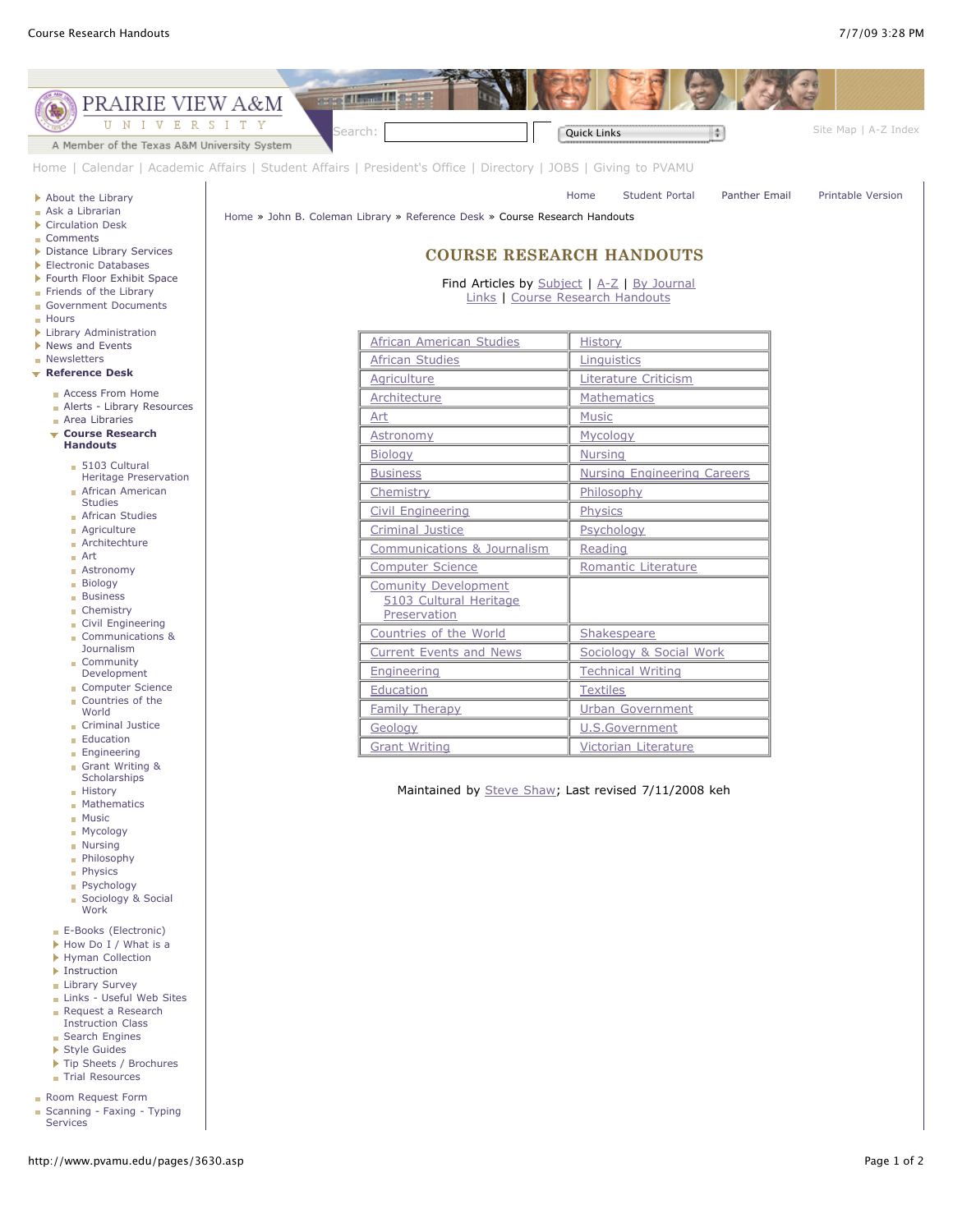